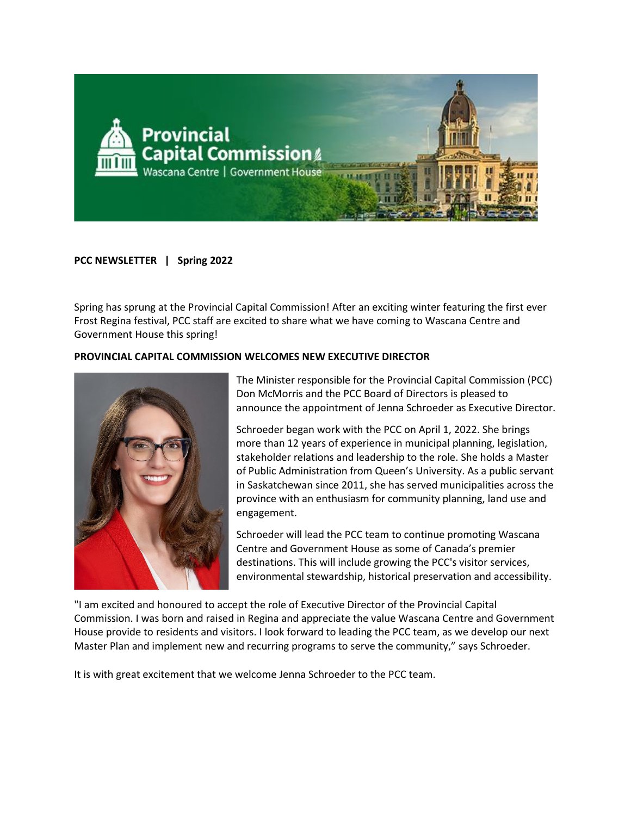

# **PCC NEWSLETTER | Spring 2022**

Spring has sprung at the Provincial Capital Commission! After an exciting winter featuring the first ever Frost Regina festival, PCC staff are excited to share what we have coming to Wascana Centre and Government House this spring!

### **PROVINCIAL CAPITAL COMMISSION WELCOMES NEW EXECUTIVE DIRECTOR**



The Minister responsible for the Provincial Capital Commission (PCC) Don McMorris and the PCC Board of Directors is pleased to announce the appointment of Jenna Schroeder as Executive Director.

Schroeder began work with the PCC on April 1, 2022. She brings more than 12 years of experience in municipal planning, legislation, stakeholder relations and leadership to the role. She holds a Master of Public Administration from Queen's University. As a public servant in Saskatchewan since 2011, she has served municipalities across the province with an enthusiasm for community planning, land use and engagement.

Schroeder will lead the PCC team to continue promoting Wascana Centre and Government House as some of Canada's premier destinations. This will include growing the PCC's visitor services, environmental stewardship, historical preservation and accessibility.

"I am excited and honoured to accept the role of Executive Director of the Provincial Capital Commission. I was born and raised in Regina and appreciate the value Wascana Centre and Government House provide to residents and visitors. I look forward to leading the PCC team, as we develop our next Master Plan and implement new and recurring programs to serve the community," says Schroeder.

It is with great excitement that we welcome Jenna Schroeder to the PCC team.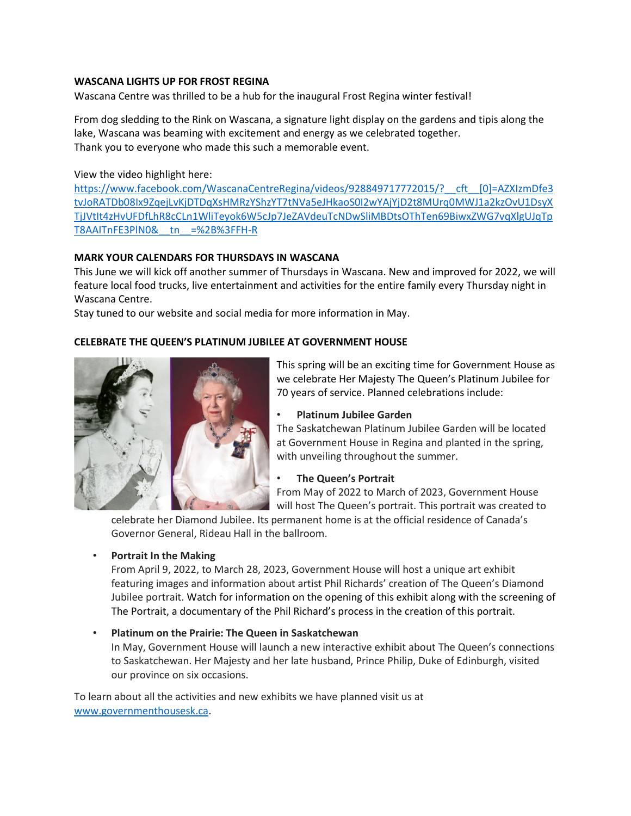### **WASCANA LIGHTS UP FOR FROST REGINA**

Wascana Centre was thrilled to be a hub for the inaugural Frost Regina winter festival!

From dog sledding to the Rink on Wascana, a signature light display on the gardens and tipis along the lake, Wascana was beaming with excitement and energy as we celebrated together. Thank you to everyone who made this such a memorable event.

# View the video highlight here:

https://www.facebook.com/WascanaCentreRegina/videos/928849717772015/? cft [0]=AZXIzmDfe3 [tvJoRATDb08Ix9ZqejLvKjDTDqXsHMRzYShzYT7tNVa5eJHkaoS0I2wYAjYjD2t8MUrq0MWJ1a2kzOvU1DsyX](https://can01.safelinks.protection.outlook.com/?url=https%3A%2F%2Fwww.facebook.com%2FWascanaCentreRegina%2Fvideos%2F928849717772015%2F%3F__cft__%255b0%255d%3DAZXIzmDfe3tvJoRATDb08Ix9ZqejLvKjDTDqXsHMRzYShzYT7tNVa5eJHkaoS0I2wYAjYjD2t8MUrq0MWJ1a2kzOvU1DsyXTjJVtIt4zHvUFDfLhR8cCLn1WliTeyok6W5cJp7JeZAVdeuTcNDwSliMBDtsOThTen69BiwxZWG7vqXlgUJqTpT8AAITnFE3PlN0%26__tn__%3D%252B%253FFH-R&data=05%7C01%7Ckerri.warddavis%40gov.sk.ca%7Cce4501ce006e4c3a528f08da2e0095f3%7Ccf4e8a24641b40d2905e9a328b644fab%7C0%7C0%7C637872877290135174%7CUnknown%7CTWFpbGZsb3d8eyJWIjoiMC4wLjAwMDAiLCJQIjoiV2luMzIiLCJBTiI6Ik1haWwiLCJXVCI6Mn0%3D%7C3000%7C%7C%7C&sdata=sWjPDTOOrd1Zymq%2BojqoILvBeTifkodSPq0rxNwGVos%3D&reserved=0) [TjJVtIt4zHvUFDfLhR8cCLn1WliTeyok6W5cJp7JeZAVdeuTcNDwSliMBDtsOThTen69BiwxZWG7vqXlgUJqTp](https://can01.safelinks.protection.outlook.com/?url=https%3A%2F%2Fwww.facebook.com%2FWascanaCentreRegina%2Fvideos%2F928849717772015%2F%3F__cft__%255b0%255d%3DAZXIzmDfe3tvJoRATDb08Ix9ZqejLvKjDTDqXsHMRzYShzYT7tNVa5eJHkaoS0I2wYAjYjD2t8MUrq0MWJ1a2kzOvU1DsyXTjJVtIt4zHvUFDfLhR8cCLn1WliTeyok6W5cJp7JeZAVdeuTcNDwSliMBDtsOThTen69BiwxZWG7vqXlgUJqTpT8AAITnFE3PlN0%26__tn__%3D%252B%253FFH-R&data=05%7C01%7Ckerri.warddavis%40gov.sk.ca%7Cce4501ce006e4c3a528f08da2e0095f3%7Ccf4e8a24641b40d2905e9a328b644fab%7C0%7C0%7C637872877290135174%7CUnknown%7CTWFpbGZsb3d8eyJWIjoiMC4wLjAwMDAiLCJQIjoiV2luMzIiLCJBTiI6Ik1haWwiLCJXVCI6Mn0%3D%7C3000%7C%7C%7C&sdata=sWjPDTOOrd1Zymq%2BojqoILvBeTifkodSPq0rxNwGVos%3D&reserved=0) [T8AAITnFE3PlN0&\\_\\_tn\\_\\_=%2B%3FFH-R](https://can01.safelinks.protection.outlook.com/?url=https%3A%2F%2Fwww.facebook.com%2FWascanaCentreRegina%2Fvideos%2F928849717772015%2F%3F__cft__%255b0%255d%3DAZXIzmDfe3tvJoRATDb08Ix9ZqejLvKjDTDqXsHMRzYShzYT7tNVa5eJHkaoS0I2wYAjYjD2t8MUrq0MWJ1a2kzOvU1DsyXTjJVtIt4zHvUFDfLhR8cCLn1WliTeyok6W5cJp7JeZAVdeuTcNDwSliMBDtsOThTen69BiwxZWG7vqXlgUJqTpT8AAITnFE3PlN0%26__tn__%3D%252B%253FFH-R&data=05%7C01%7Ckerri.warddavis%40gov.sk.ca%7Cce4501ce006e4c3a528f08da2e0095f3%7Ccf4e8a24641b40d2905e9a328b644fab%7C0%7C0%7C637872877290135174%7CUnknown%7CTWFpbGZsb3d8eyJWIjoiMC4wLjAwMDAiLCJQIjoiV2luMzIiLCJBTiI6Ik1haWwiLCJXVCI6Mn0%3D%7C3000%7C%7C%7C&sdata=sWjPDTOOrd1Zymq%2BojqoILvBeTifkodSPq0rxNwGVos%3D&reserved=0)

# **MARK YOUR CALENDARS FOR THURSDAYS IN WASCANA**

This June we will kick off another summer of Thursdays in Wascana. New and improved for 2022, we will feature local food trucks, live entertainment and activities for the entire family every Thursday night in Wascana Centre.

Stay tuned to our website and social media for more information in May.

# **CELEBRATE THE QUEEN'S PLATINUM JUBILEE AT GOVERNMENT HOUSE**



This spring will be an exciting time for Government House as we celebrate Her Majesty The Queen's Platinum Jubilee for 70 years of service. Planned celebrations include:

#### • **Platinum Jubilee Garden**

The Saskatchewan Platinum Jubilee Garden will be located at Government House in Regina and planted in the spring, with unveiling throughout the summer.

### • **The Queen's Portrait**

From May of 2022 to March of 2023, Government House will host The Queen's portrait. This portrait was created to

celebrate her Diamond Jubilee. Its permanent home is at the official residence of Canada's Governor General, Rideau Hall in the ballroom.

### • **Portrait In the Making**

From April 9, 2022, to March 28, 2023, Government House will host a unique art exhibit featuring images and information about artist Phil Richards' creation of The Queen's Diamond Jubilee portrait. Watch for information on the opening of this exhibit along with the screening of The Portrait, a documentary of the Phil Richard's process in the creation of this portrait.

# • **Platinum on the Prairie: The Queen in Saskatchewan** In May, Government House will launch a new interactive exhibit about The Queen's connections to Saskatchewan. Her Majesty and her late husband, Prince Philip, Duke of Edinburgh, visited our province on six occasions.

To learn about all the activities and new exhibits we have planned visit us at [www.governmenthousesk.ca.](http://www.governmenthousesk.ca/)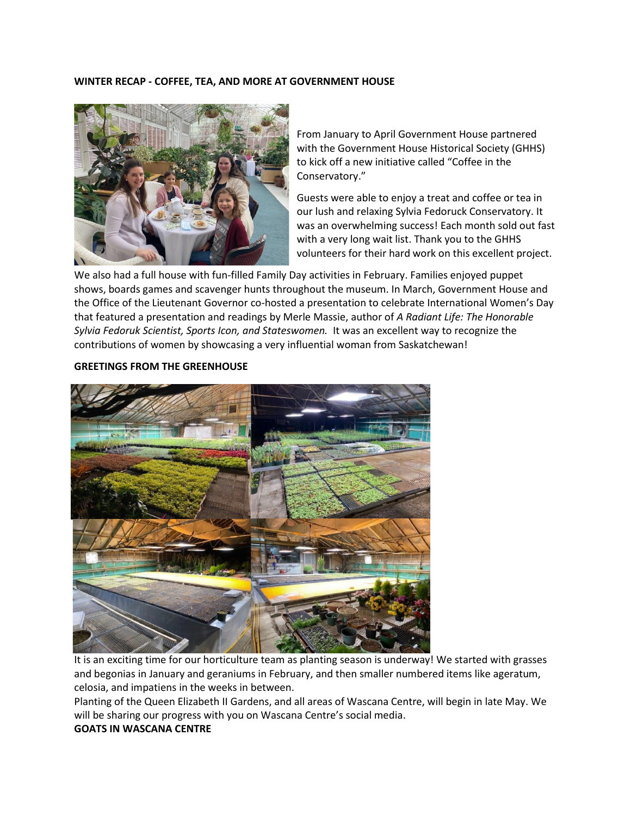#### **WINTER RECAP - COFFEE, TEA, AND MORE AT GOVERNMENT HOUSE**



From January to April Government House partnered with the Government House Historical Society (GHHS) to kick off a new initiative called "Coffee in the Conservatory."

Guests were able to enjoy a treat and coffee or tea in our lush and relaxing Sylvia Fedoruck Conservatory. It was an overwhelming success! Each month sold out fast with a very long wait list. Thank you to the GHHS volunteers for their hard work on this excellent project.

We also had a full house with fun-filled Family Day activities in February. Families enjoyed puppet shows, boards games and scavenger hunts throughout the museum. In March, Government House and the Office of the Lieutenant Governor co-hosted a presentation to celebrate International Women's Day that featured a presentation and readings by Merle Massie, author of *A Radiant Life: The Honorable Sylvia Fedoruk Scientist, Sports Icon, and Stateswomen.* It was an excellent way to recognize the contributions of women by showcasing a very influential woman from Saskatchewan!

#### **GREETINGS FROM THE GREENHOUSE**



It is an exciting time for our horticulture team as planting season is underway! We started with grasses and begonias in January and geraniums in February, and then smaller numbered items like ageratum, celosia, and impatiens in the weeks in between.

Planting of the Queen Elizabeth II Gardens, and all areas of Wascana Centre, will begin in late May. We will be sharing our progress with you on Wascana Centre's social media.

#### **GOATS IN WASCANA CENTRE**